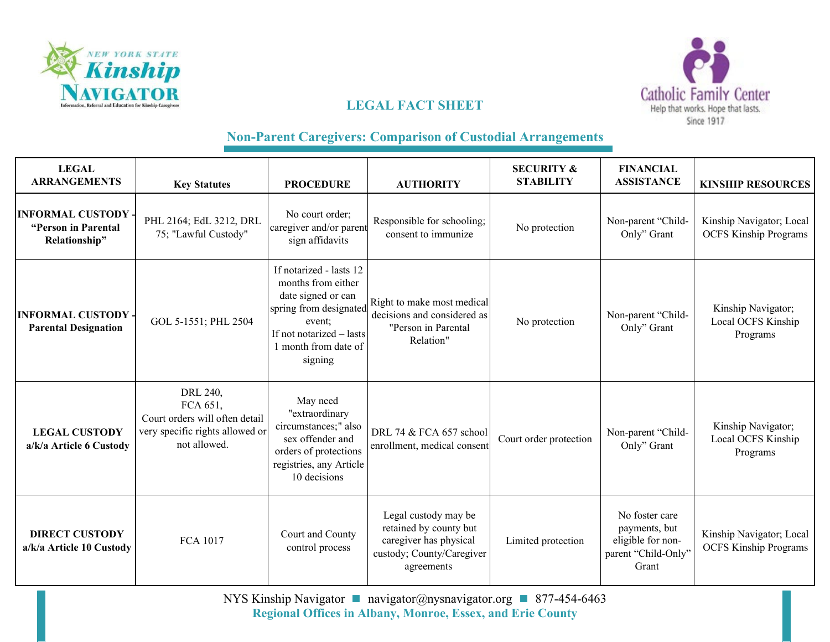



# **LEGAL FACT SHEET**

## **Non-Parent Caregivers: Comparison of Custodial Arrangements**

| <b>LEGAL</b><br><b>ARRANGEMENTS</b>                               | <b>Key Statutes</b>                                                                                       | <b>PROCEDURE</b>                                                                                                                                                       | <b>AUTHORITY</b>                                                                                                    | <b>SECURITY &amp;</b><br><b>STABILITY</b> | <b>FINANCIAL</b><br><b>ASSISTANCE</b>                                                | <b>KINSHIP RESOURCES</b>                                 |
|-------------------------------------------------------------------|-----------------------------------------------------------------------------------------------------------|------------------------------------------------------------------------------------------------------------------------------------------------------------------------|---------------------------------------------------------------------------------------------------------------------|-------------------------------------------|--------------------------------------------------------------------------------------|----------------------------------------------------------|
| <b>INFORMAL CUSTODY -</b><br>"Person in Parental<br>Relationship" | PHL 2164; EdL 3212, DRL<br>75; "Lawful Custody"                                                           | No court order;<br>caregiver and/or parent<br>sign affidavits                                                                                                          | Responsible for schooling;<br>consent to immunize                                                                   | No protection                             | Non-parent "Child-<br>Only" Grant                                                    | Kinship Navigator; Local<br><b>OCFS Kinship Programs</b> |
| <b>INFORMAL CUSTODY -</b><br><b>Parental Designation</b>          | GOL 5-1551; PHL 2504                                                                                      | If notarized - lasts 12<br>months from either<br>date signed or can<br>spring from designated<br>event:<br>If not notarized - lasts<br>1 month from date of<br>signing | Right to make most medical<br>decisions and considered as<br>"Person in Parental<br>Relation"                       | No protection                             | Non-parent "Child-<br>Only" Grant                                                    | Kinship Navigator;<br>Local OCFS Kinship<br>Programs     |
| <b>LEGAL CUSTODY</b><br>a/k/a Article 6 Custody                   | DRL 240,<br>FCA 651,<br>Court orders will often detail<br>very specific rights allowed or<br>not allowed. | May need<br>"extraordinary<br>circumstances;" also<br>sex offender and<br>orders of protections<br>registries, any Article<br>10 decisions                             | DRL 74 & FCA 657 school<br>enrollment, medical consent                                                              | Court order protection                    | Non-parent "Child-<br>Only" Grant                                                    | Kinship Navigator;<br>Local OCFS Kinship<br>Programs     |
| <b>DIRECT CUSTODY</b><br>a/k/a Article 10 Custody                 | <b>FCA 1017</b>                                                                                           | Court and County<br>control process                                                                                                                                    | Legal custody may be<br>retained by county but<br>caregiver has physical<br>custody; County/Caregiver<br>agreements | Limited protection                        | No foster care<br>payments, but<br>eligible for non-<br>parent "Child-Only"<br>Grant | Kinship Navigator; Local<br><b>OCFS Kinship Programs</b> |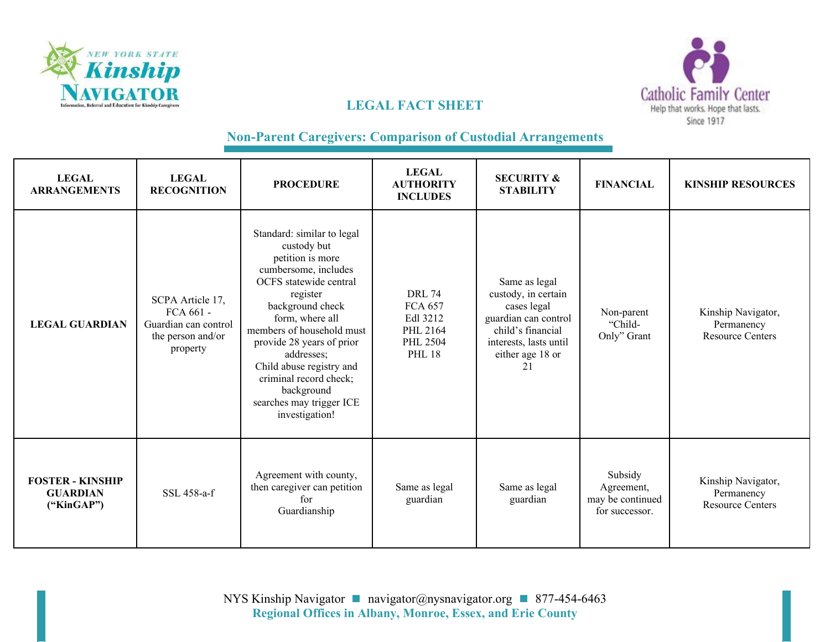



## **LEGAL FACT SHEET**

### **Non-Parent Caregivers: Comparison of Custodial Arrangements**

| <b>LEGAL</b><br><b>ARRANGEMENTS</b>                      | <b>LEGAL</b><br><b>RECOGNITION</b>                                                     | <b>PROCEDURE</b>                                                                                                                                                                                                                                                                                                                                             | <b>LEGAL</b><br><b>AUTHORITY</b><br><b>INCLUDES</b>                                  | <b>SECURITY &amp;</b><br><b>STABILITY</b>                                                                                                            | <b>FINANCIAL</b>                                            | <b>KINSHIP RESOURCES</b>                                    |
|----------------------------------------------------------|----------------------------------------------------------------------------------------|--------------------------------------------------------------------------------------------------------------------------------------------------------------------------------------------------------------------------------------------------------------------------------------------------------------------------------------------------------------|--------------------------------------------------------------------------------------|------------------------------------------------------------------------------------------------------------------------------------------------------|-------------------------------------------------------------|-------------------------------------------------------------|
| <b>LEGAL GUARDIAN</b>                                    | SCPA Article 17,<br>FCA 661 -<br>Guardian can control<br>the person and/or<br>property | Standard: similar to legal<br>custody but<br>petition is more<br>cumbersome, includes<br>OCFS statewide central<br>register<br>background check<br>form, where all<br>members of household must<br>provide 28 years of prior<br>addresses;<br>Child abuse registry and<br>criminal record check;<br>background<br>searches may trigger ICE<br>investigation! | <b>DRL 74</b><br><b>FCA 657</b><br>Edl 3212<br>PHL 2164<br>PHL 2504<br><b>PHL 18</b> | Same as legal<br>custody, in certain<br>cases legal<br>guardian can control<br>child's financial<br>interests, lasts until<br>either age 18 or<br>21 | Non-parent<br>"Child-<br>Only" Grant                        | Kinship Navigator,<br>Permanency<br><b>Resource Centers</b> |
| <b>FOSTER - KINSHIP</b><br><b>GUARDIAN</b><br>("KinGAP") | SSL 458-a-f                                                                            | Agreement with county,<br>then caregiver can petition<br>for<br>Guardianship                                                                                                                                                                                                                                                                                 | Same as legal<br>guardian                                                            | Same as legal<br>guardian                                                                                                                            | Subsidy<br>Agreement,<br>may be continued<br>for successor. | Kinship Navigator,<br>Permanency<br><b>Resource Centers</b> |